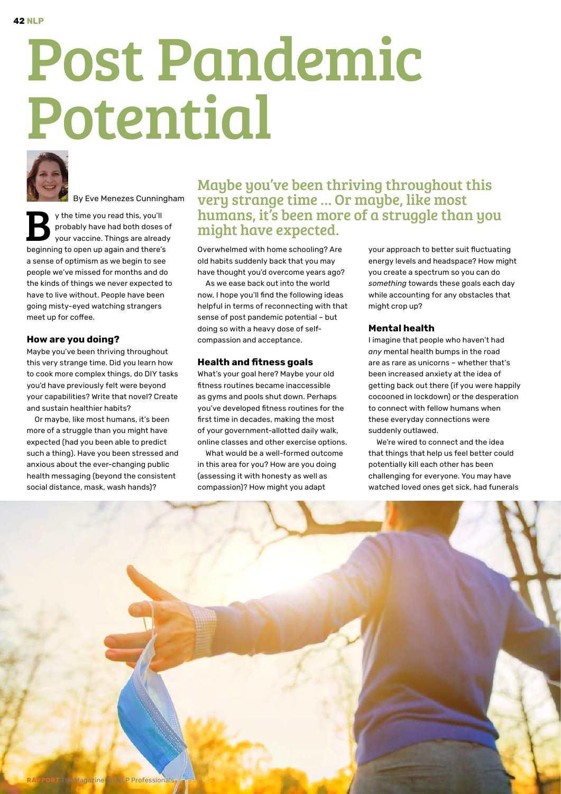# Post Pandemic Potential



By Eve Menezes Cunningham

y the time you read this, you'll probably have had both doses of your vaccine. Things are already beginning to open up again and there's a sense of optimism as we begin to see people we've missed for months and do the kinds of things we never expected to have to live without. People have been going misty-eyed watching strangers meet up for coffee.

# **How are you doing?**

Maybe you've been thriving throughout this very strange time. Did you learn how to cook more complex things, do DIY tasks you'd have previously felt were beyond your capabilities? Write that novel? Create and sustain healthier habits?

Or maybe, like most humans, it's been more of a struggle than you might have expected (had you been able to predict such a thing). Have you been stressed and anxious about the ever-changing public health messaging (beyond the consistent social distance, mask, wash hands)?

Maybe you've been thriving throughout this very strange time … Or maybe, like most humans, it's been more of a struggle than you might have expected.

Overwhelmed with home schooling? Are old habits suddenly back that you may have thought you'd overcome years ago?

As we ease back out into the world now, I hope you'll find the following ideas helpful in terms of reconnecting with that sense of post pandemic potential – but doing so with a heavy dose of selfcompassion and acceptance.

### **Health and fitness goals**

What's your goal here? Maybe your old fitness routines became inaccessible as gyms and pools shut down. Perhaps you've developed fitness routines for the first time in decades, making the most of your government-allotted daily walk, online classes and other exercise options.

What would be a well-formed outcome in this area for you? How are you doing (assessing it with honesty as well as compassion)? How might you adapt

your approach to better suit fluctuating energy levels and headspace? How might you create a spectrum so you can do *something* towards these goals each day while accounting for any obstacles that might crop up?

## **Mental health**

I imagine that people who haven't had *any* mental health bumps in the road are as rare as unicorns – whether that's been increased anxiety at the idea of getting back out there (if you were happily cocooned in lockdown) or the desperation to connect with fellow humans when these everyday connections were suddenly outlawed.

We're wired to connect and the idea that things that help us feel better could potentially kill each other has been challenging for everyone. You may have watched loved ones get sick, had funerals